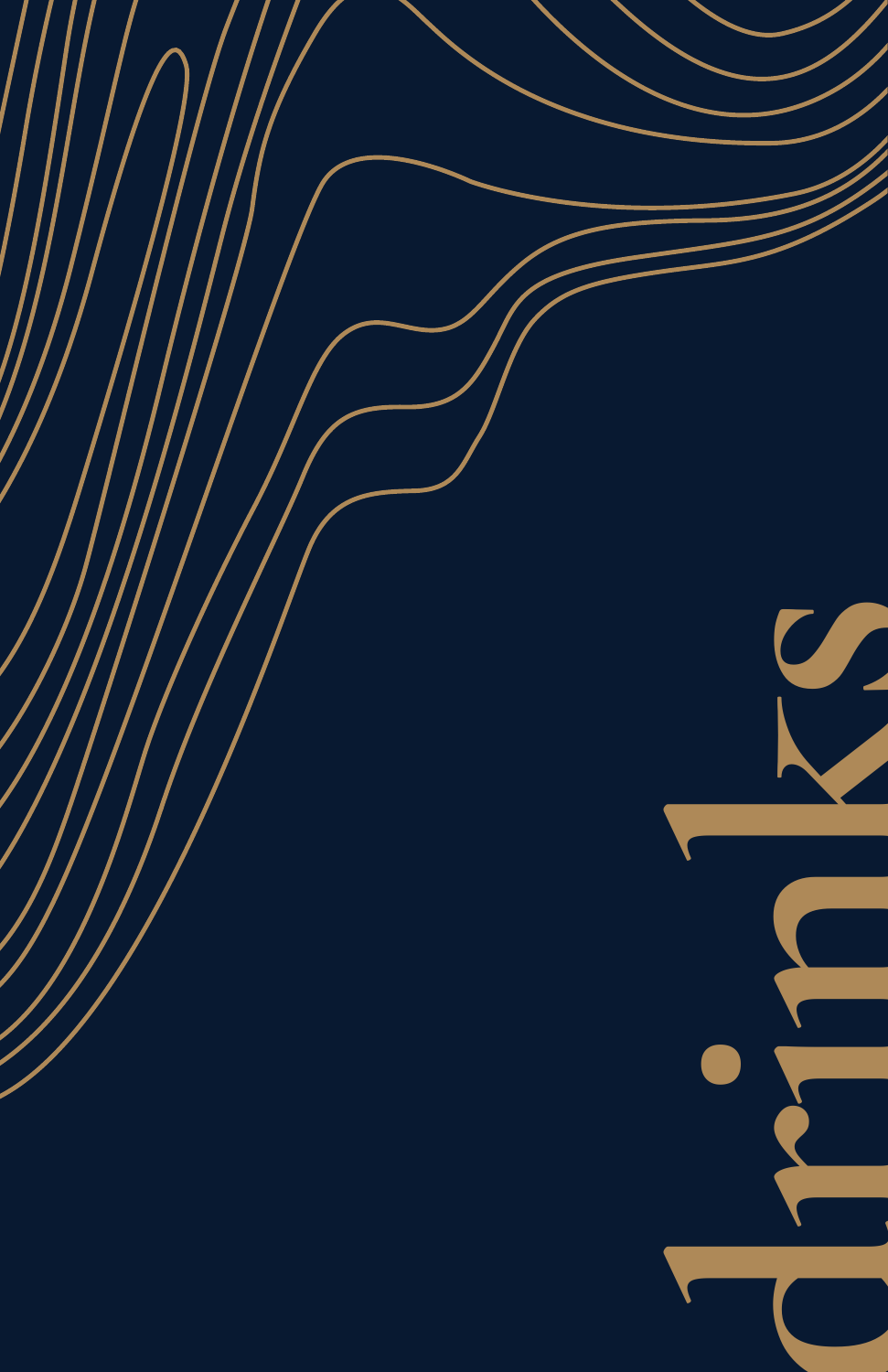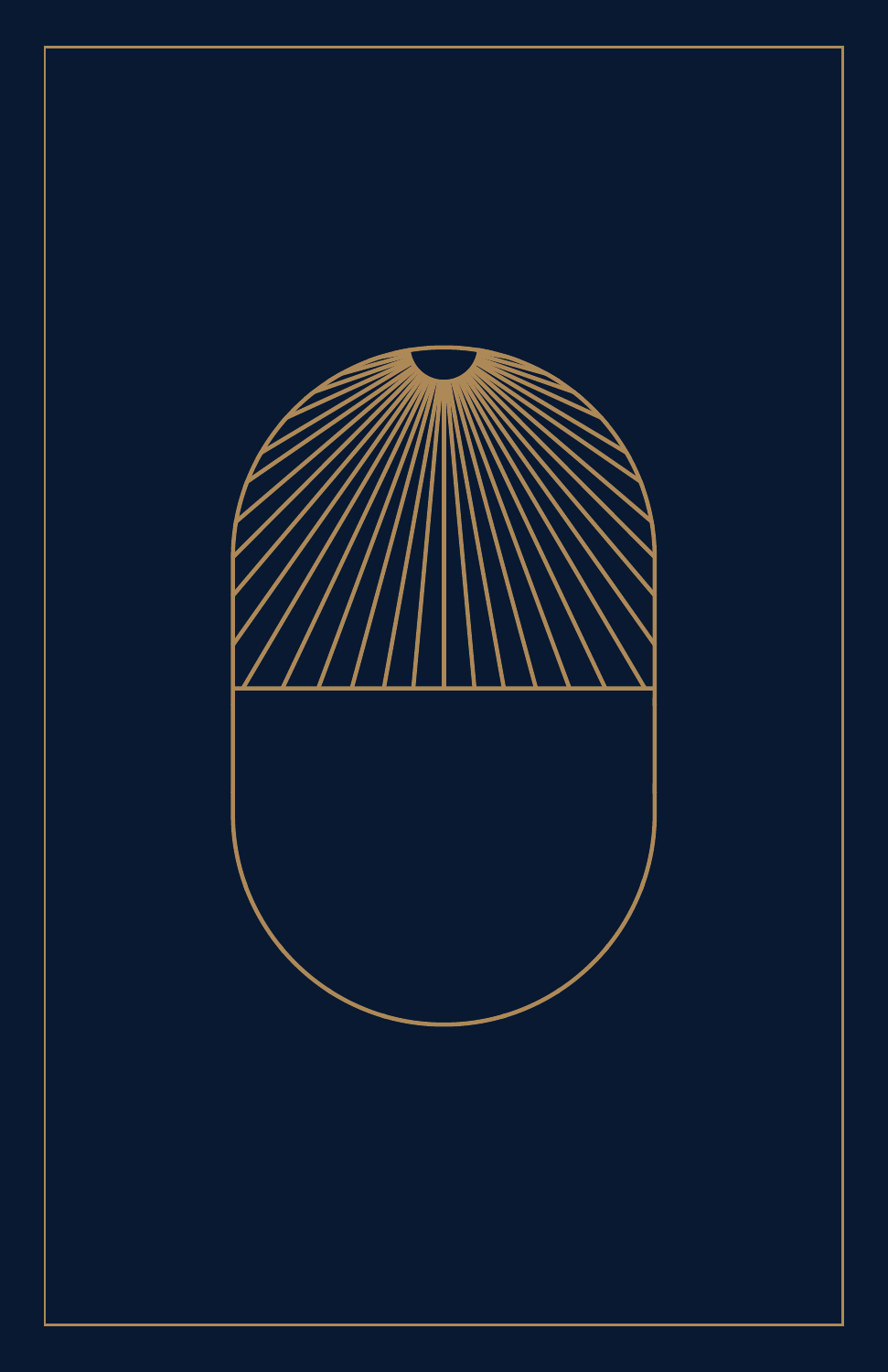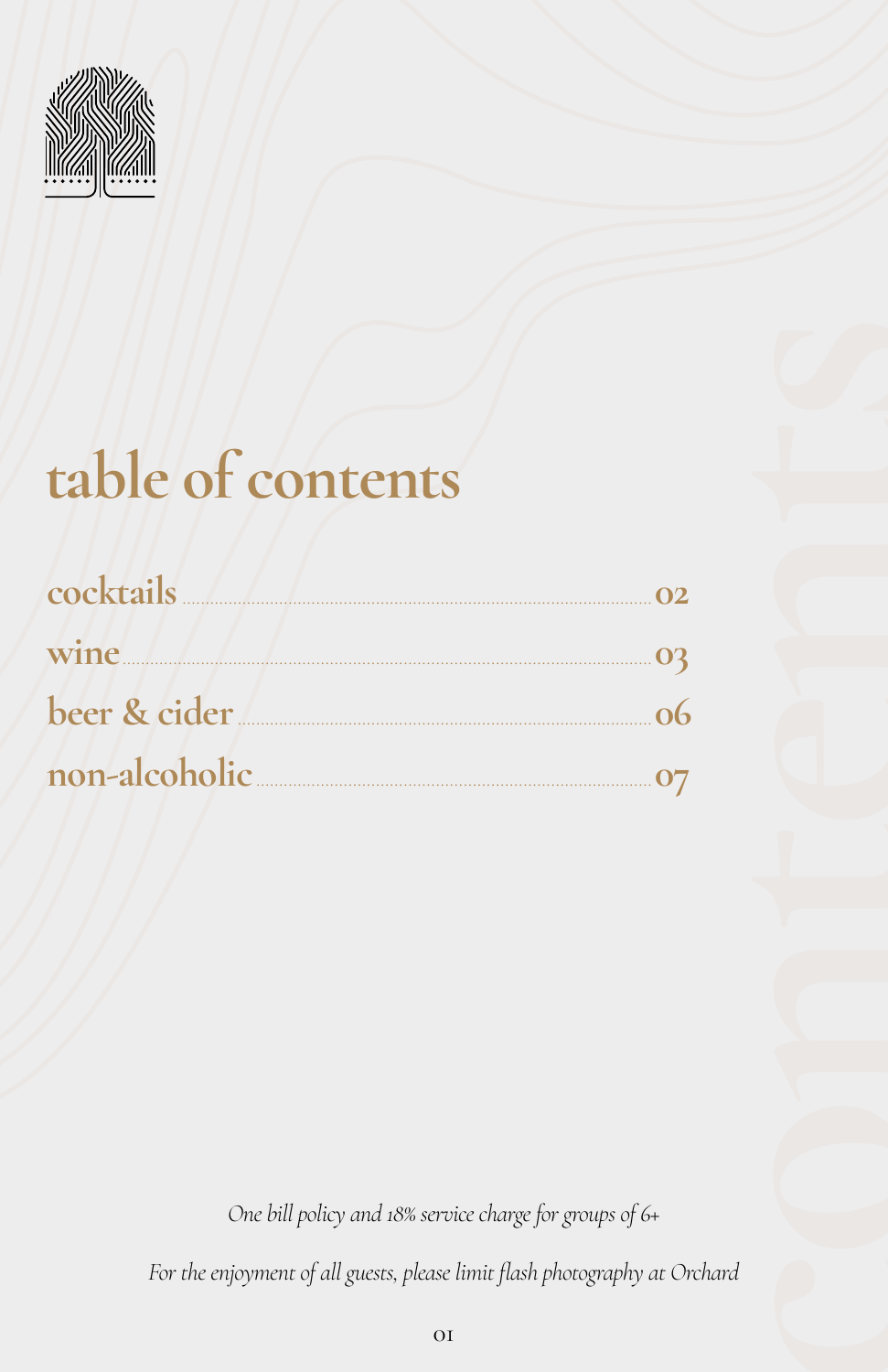

# **table of contents**

| cocktails     | $\Omega$ |
|---------------|----------|
| wine.         |          |
| beer & cider  | O(2)     |
| non-alcoholic |          |

*One bill policy and 18% service charge for groups of 6+*

*For the enjoyment of all guests, please limit flash photography at Orchard*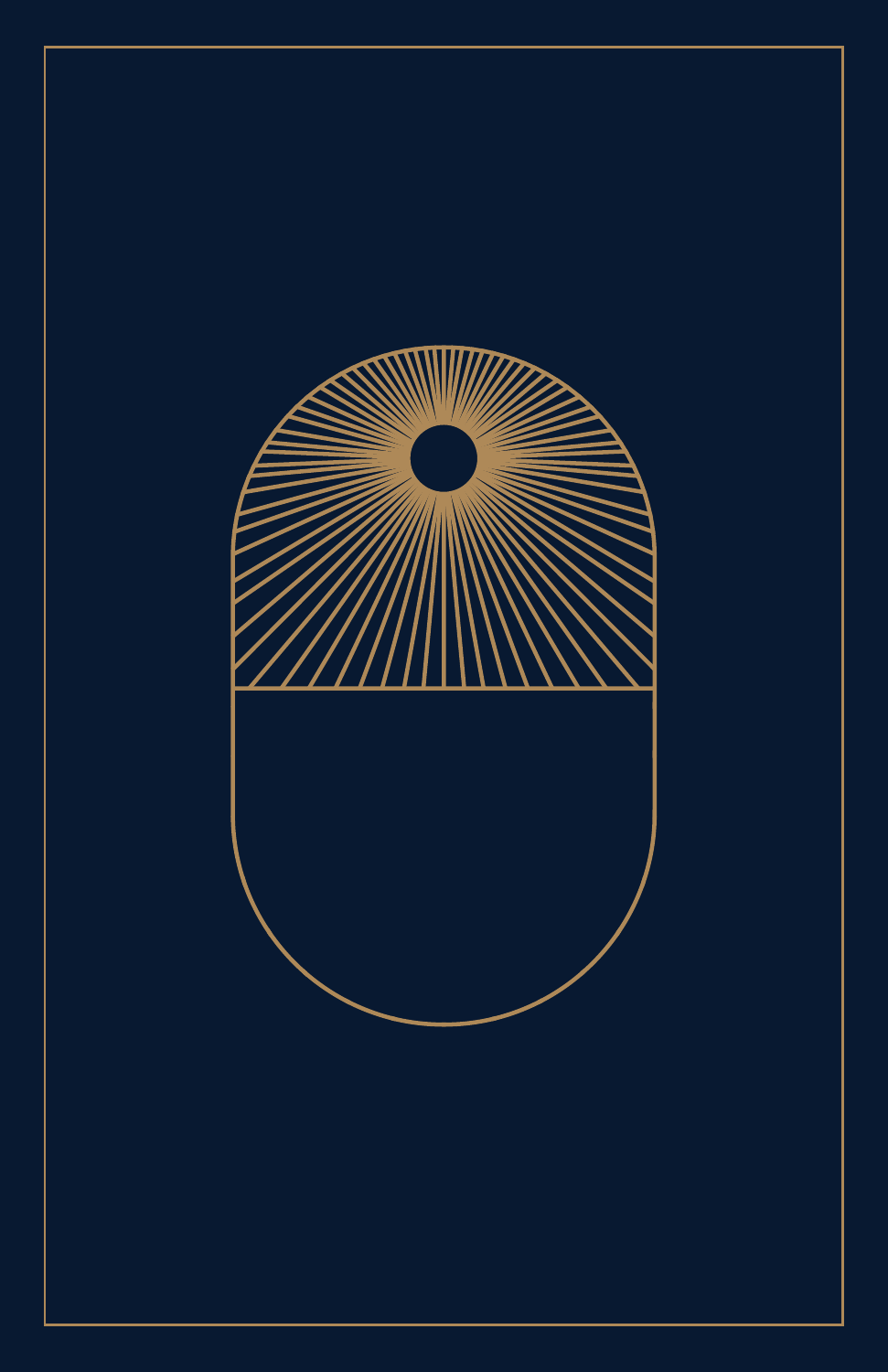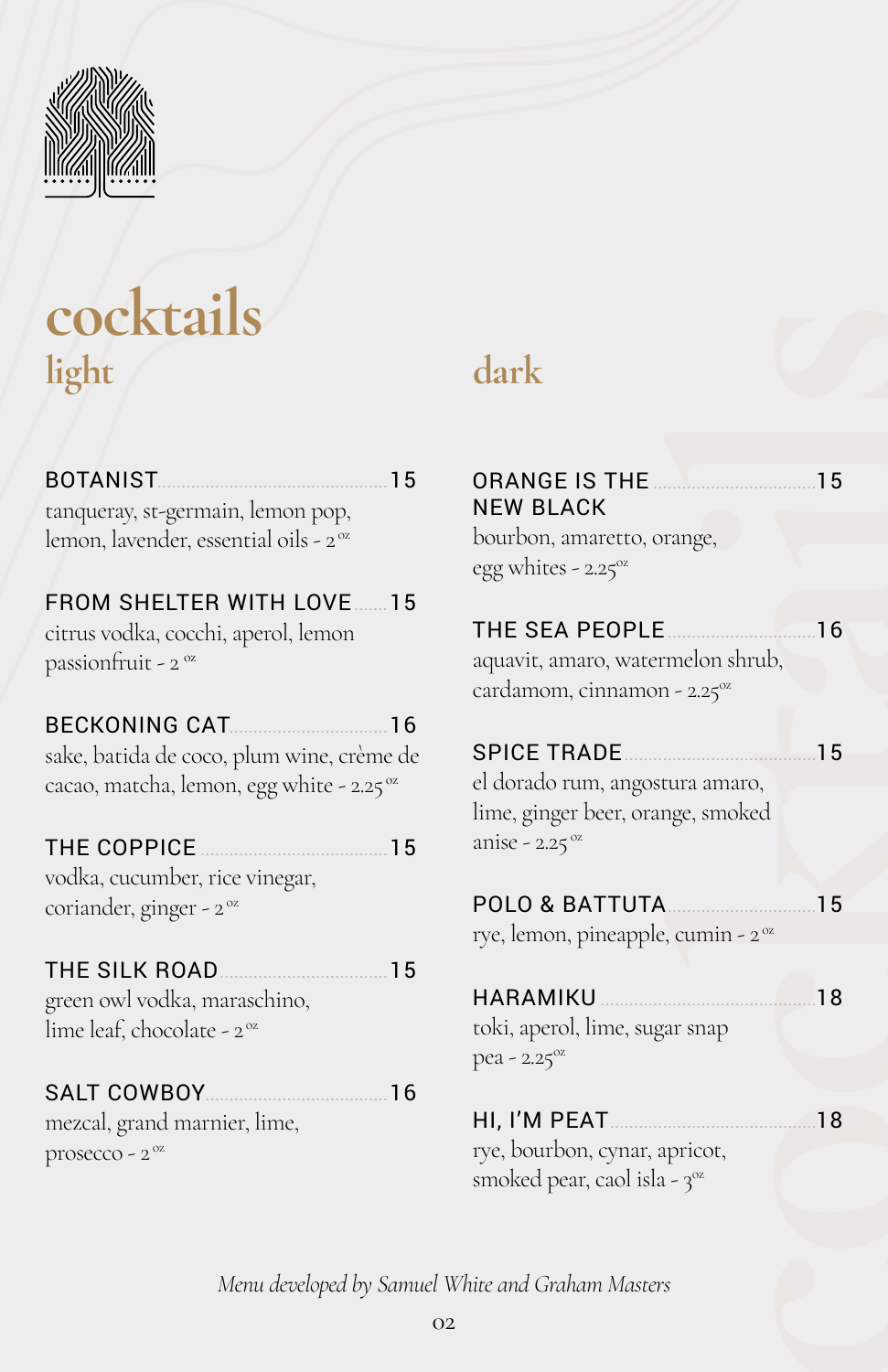

# **cocktails light**

#### **BOTANIST** 15

tanqueray, st-germain, lemon pop, lemon, lavender, essential oils - 2 oz

### FROM SHELTER WITH LOVE 15 .......

citrus vodka, cocchi, aperol, lemon passionfruit - 2 oz

#### BECKONING CAT 16

sake, batida de coco, plum wine, crème de cacao, matcha, lemon, egg white - 2.25 oz

#### THE COPPICE 15

vodka, cucumber, rice vinegar, coriander, ginger - 2<sup>oz</sup>

#### THE SILK ROAD 15

green owl vodka, maraschino, lime leaf, chocolate - 2<sup>oz</sup>

#### SALT COWBOY 16

mezcal, grand marnier, lime, prosecco - 2 oz

## **dark**

|                | dark                                                                                                                       |     |
|----------------|----------------------------------------------------------------------------------------------------------------------------|-----|
|                | <b>ORANGE IS THE</b><br><b>NEW BLACK</b><br>bourbon, amaretto, orange,<br>egg whites - 2.25°                               | 15  |
|                | THE SEA PEOPLE.<br>aquavit, amaro, watermelon shrub,<br>cardamom, cinnamon - 2.25°                                         | 16  |
|                | <b>SPICE TRADE</b><br>el dorado rum, angostura amaro,<br>lime, ginger beer, orange, smoked<br>anise - $2.25$ <sup>oz</sup> | 15  |
|                | <b>POLO &amp; BATTUTA.</b><br>rye, lemon, pineapple, cumin - 2 <sup>oz</sup>                                               | .15 |
|                | HARAMIKU<br>toki, aperol, lime, sugar snap<br>$pea - 2.25^{\circ z}$                                                       | 18  |
|                | HI, I'M PEAT.<br>rye, bourbon, cynar, apricot,<br>smoked pear, caol isla - $3^{\circ z}$                                   | .18 |
| $\overline{2}$ | White and Graham Masters                                                                                                   |     |

*Menu developed by Samuel White and Graham Masters*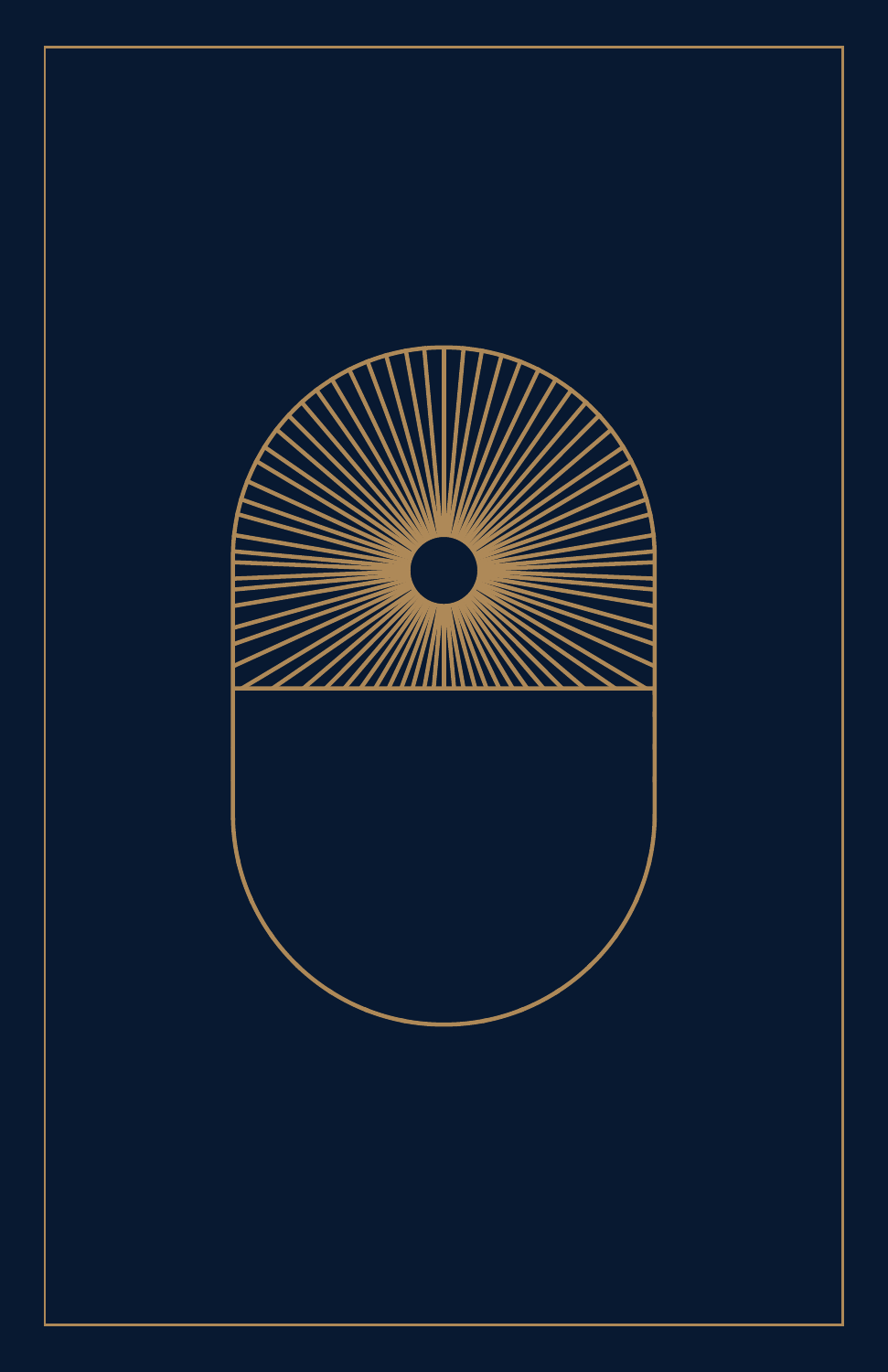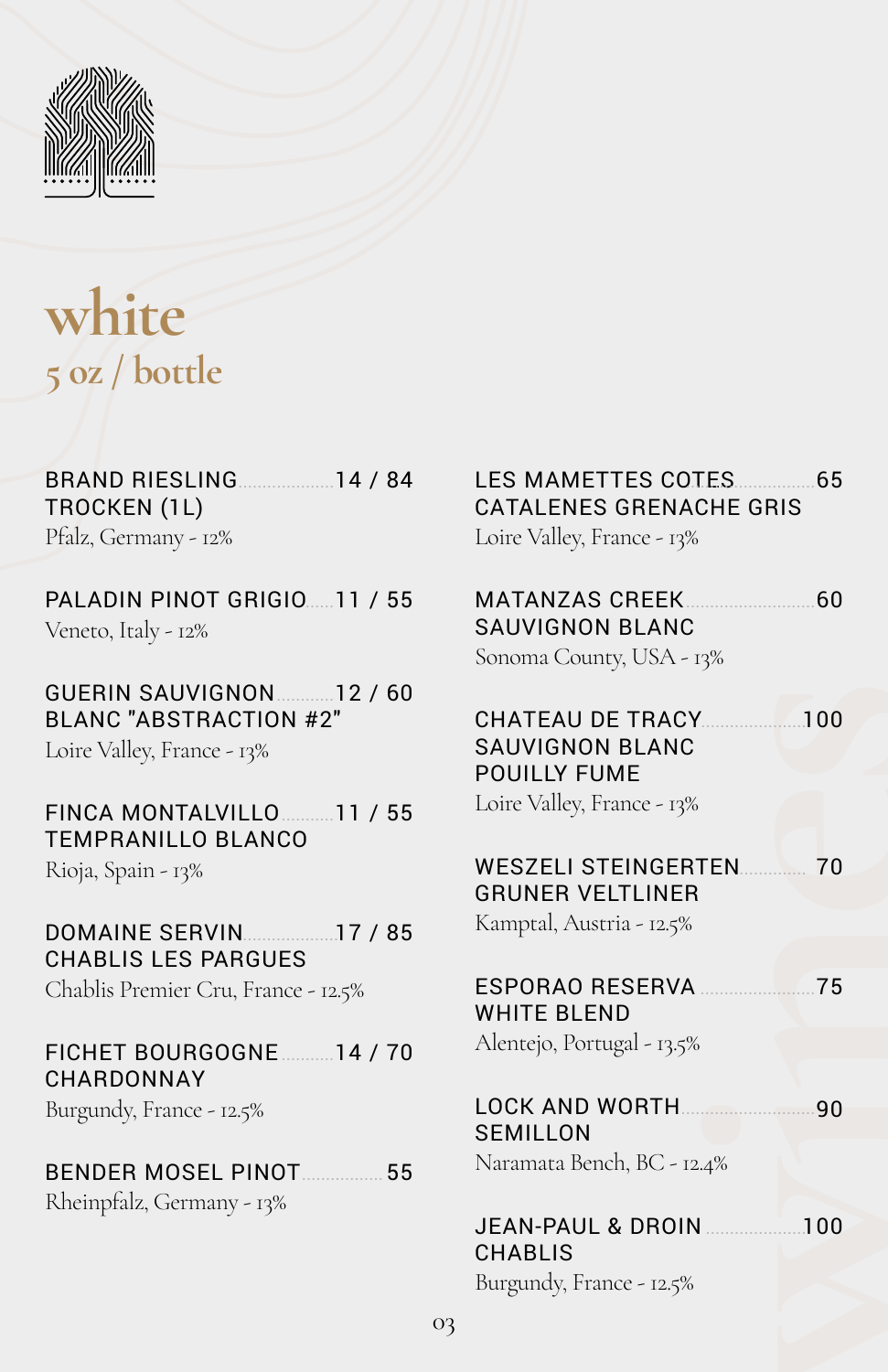



BRAND RIESLING ....................... TROCKEN (1L) Pfalz, Germany - 12% 14 / 84

PALADIN PINOT GRIGIO ...... 11 / 55 Veneto, Italy - 12%

GUERIN SAUVIGNON ............ 12 / 60 BLANC "ABSTRACTION #2"

Loire Valley, France - 13%

FINCA MONTALVILLO ........... 11 / 55 TEMPRANILLO BLANCO

Rioja, Spain - 13%

DOMAINE SERVIN CHABLIS LES PARGUES .................... 17 / 85

Chablis Premier Cru, France - 12.5%

FICHET BOURGOGNE ........... CHARDONNAY 14 / 70

Burgundy, France - 12.5%

BENDER MOSEL PINOT ................. 55

Rheinpfalz, Germany - 13%

### LES MAMETTES COTES ........................... CATALENES GRENACHE GRIS 65

Loire Valley, France - 13%

MATANZAS CREEK SAUVIGNON BLANC Sonoma County, USA - 13% 60

100<br>TEN<br>275<br>28<br>4%<br>4<sup>%</sup><br>100 CHATEAU DE TRACY SAUVIGNON BLANC POUILLY FUME ...................... 100

Loire Valley, France - 13%

WESZELI STEINGERTEN GRUNER VELTLINER Kamptal, Austria - 12.5% 70

ESPORAO RESERVA WHITE BI FND 75

Alentejo, Portugal - 13.5%

LOCK AND WORTH SEMILLON Naramata Bench, BC - 12.4% 90

JEAN-PAUL & DROIN CHABLIS Burgundy, France - 12.5% ..................... 100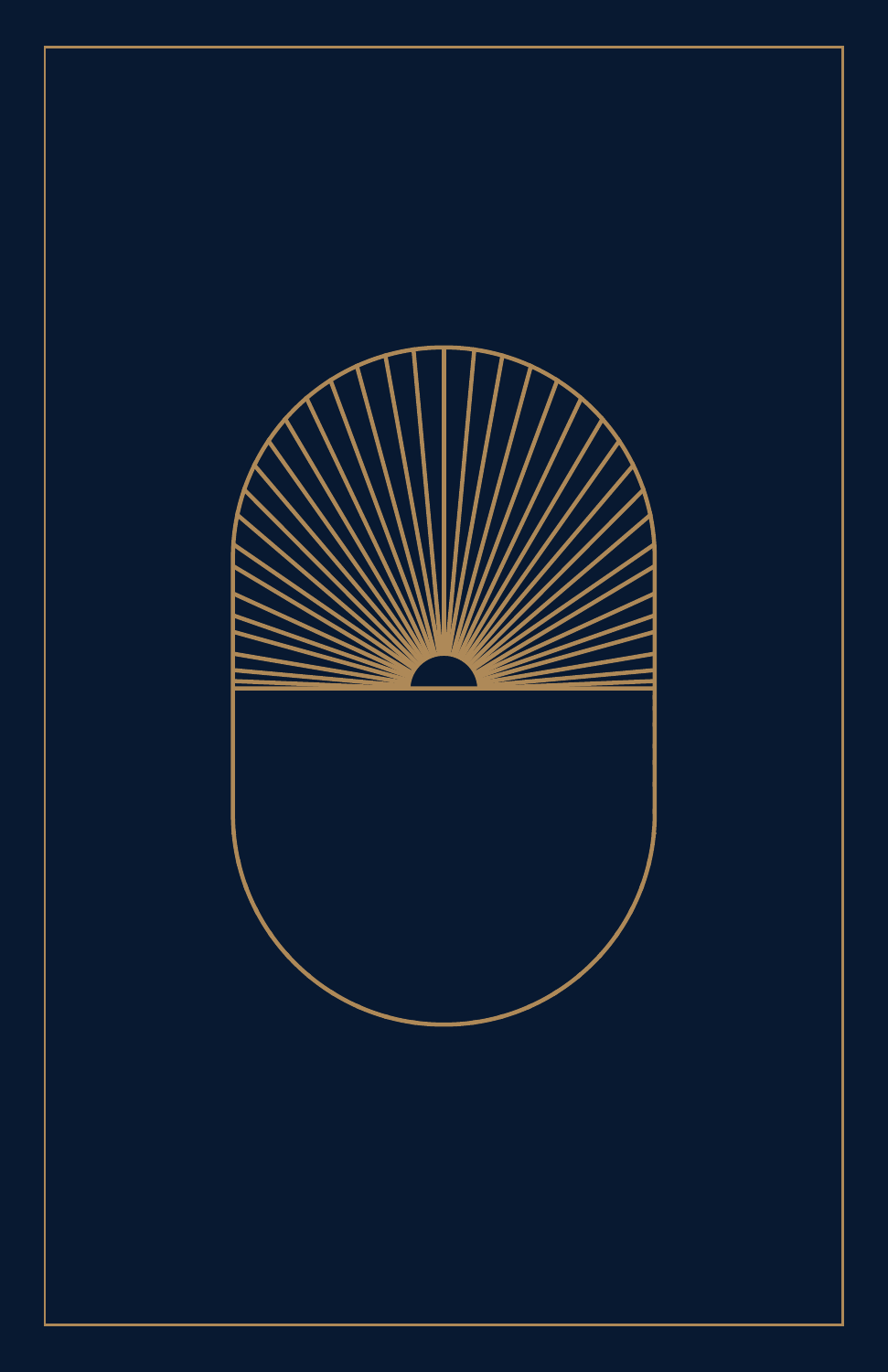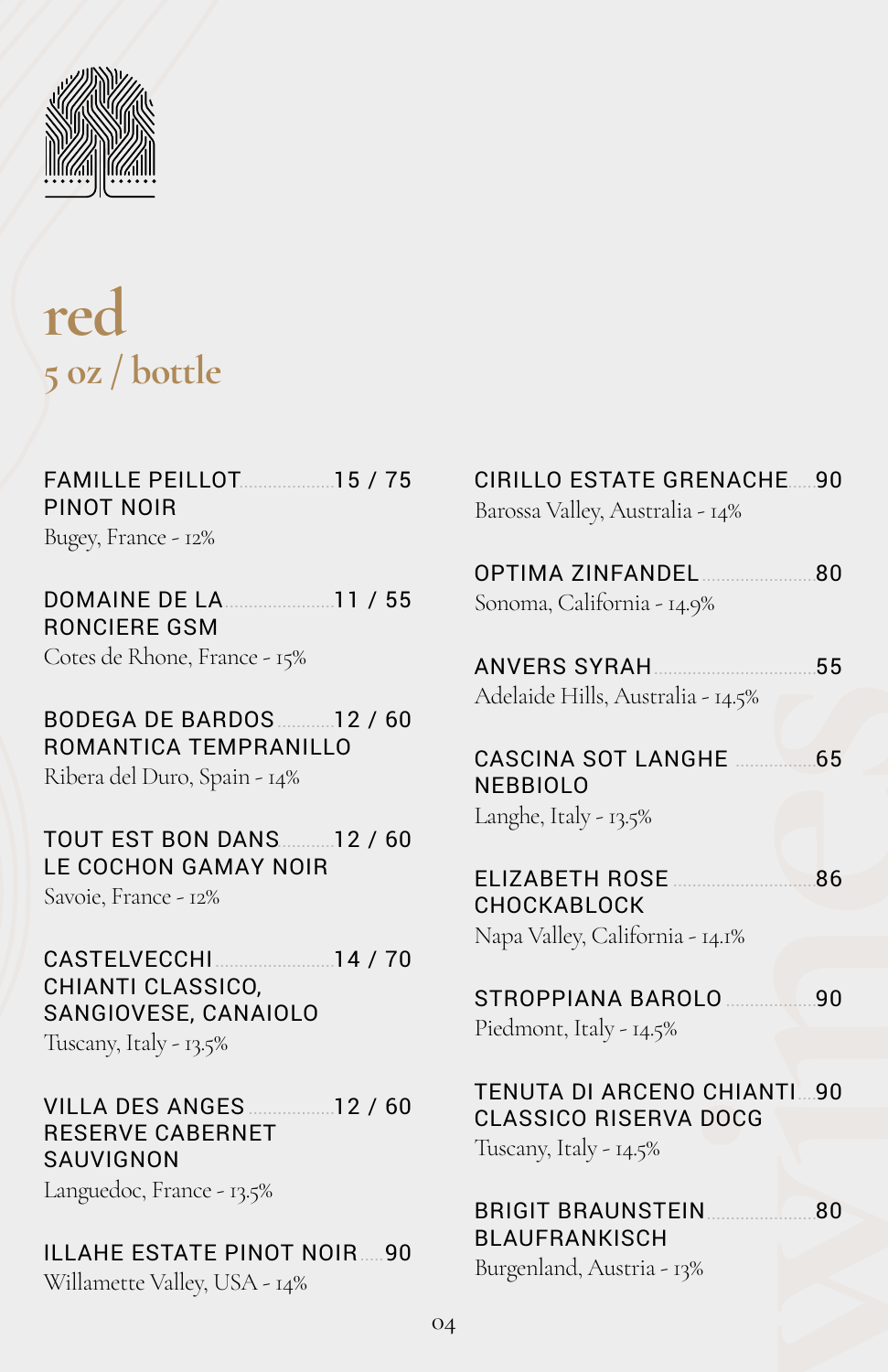

## **red 5 oz / bottle**

FAMILLE PEILLOT................... PINOT NOIR 15 / 75

Bugey, France - 12%

DOMAINE DE LA ....................... RONCIERE GSM Cotes de Rhone, France - 15%  $.11 / 55$ 

BODEGA DE BARDOS 12 / 60 ............ ROMANTICA TEMPRANILLO

Ribera del Duro, Spain - 14%

### TOUT EST BON DANS 12 / 60 ............ LE COCHON GAMAY NOIR

Savoie, France - 12%

CASTELVECCHI CHIANTI CLASSICO, SANGIOVESE, CANAIOLO 14 / 70 .........................

Tuscany, Italy - 13.5%

VILLA DES ANGES RESERVE CABERNET **SAUVIGNON** Languedoc, France - 13.5% 12 / 60 ..................

ILLAHE ESTATE PINOT NOIR 90 ..... Willamette Valley, USA - 14%

### CIRILLO ESTATE GRENACHE ...... 90

Barossa Valley, Australia - 14%

| OPTIMA ZINFANDEL 80        |  |
|----------------------------|--|
| Sonoma, California - 14.9% |  |

ANVERS SYRAH Adelaide Hills, Australia - 14.5% 55

CASCINA SOT LANGHE NEBBIOLO Langhe, Italy - 13.5% ................. 65

ELIZABETH ROSE CHOCKABLOCK Napa Valley, California - 14.1% .............................. 86

STROPPIANA BAROLO Piedmont, Italy - 14.5% ................... 90

**wines** TENUTA DI ARCENO CHIANTI…90 CLASSICO RISERVA DOCG Tuscany, Italy - 14.5%

BRIGIT BRAUNSTEIN BLAUFRANKISCH Burgenland, Austria - 13% ....................... 80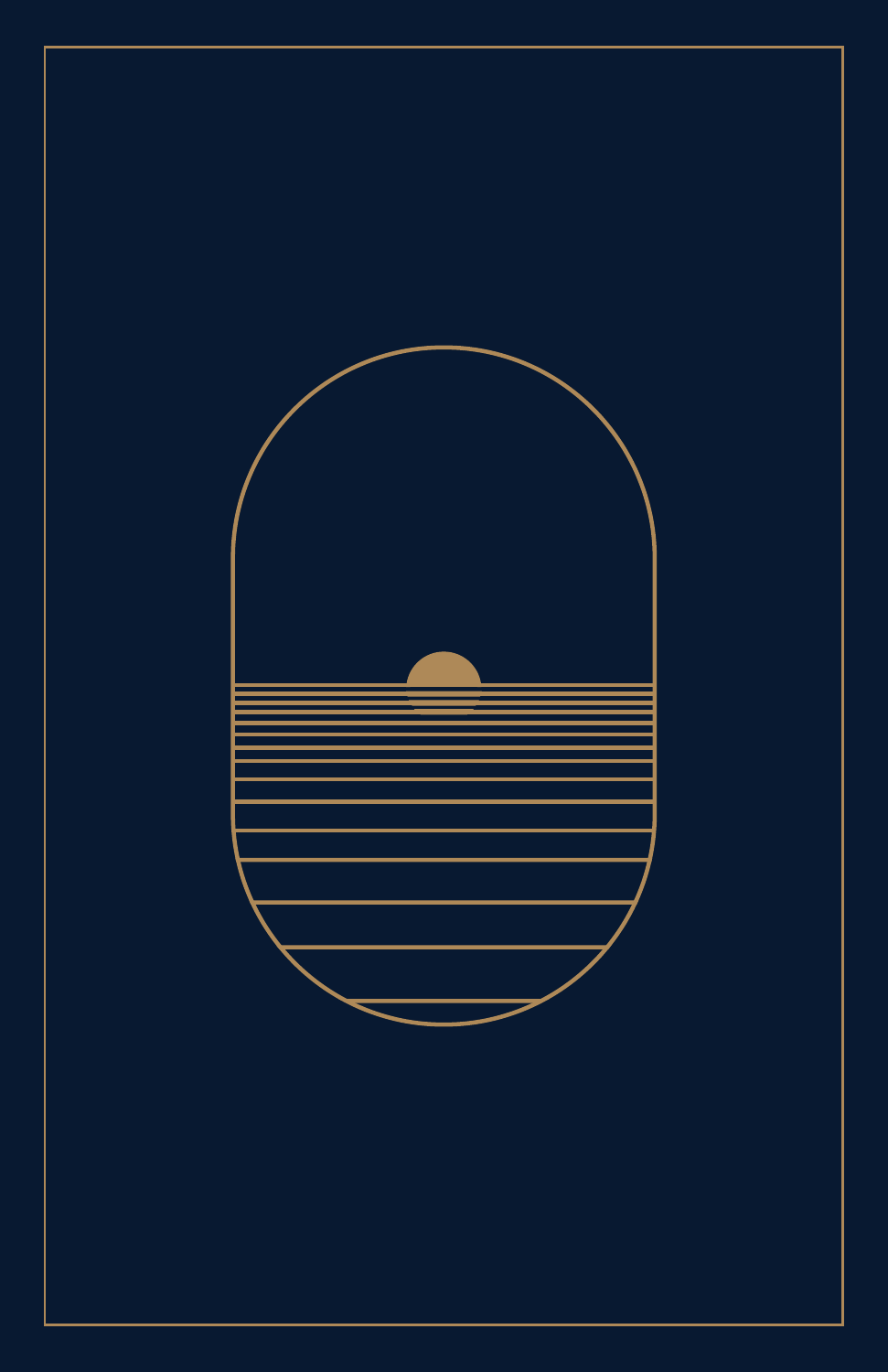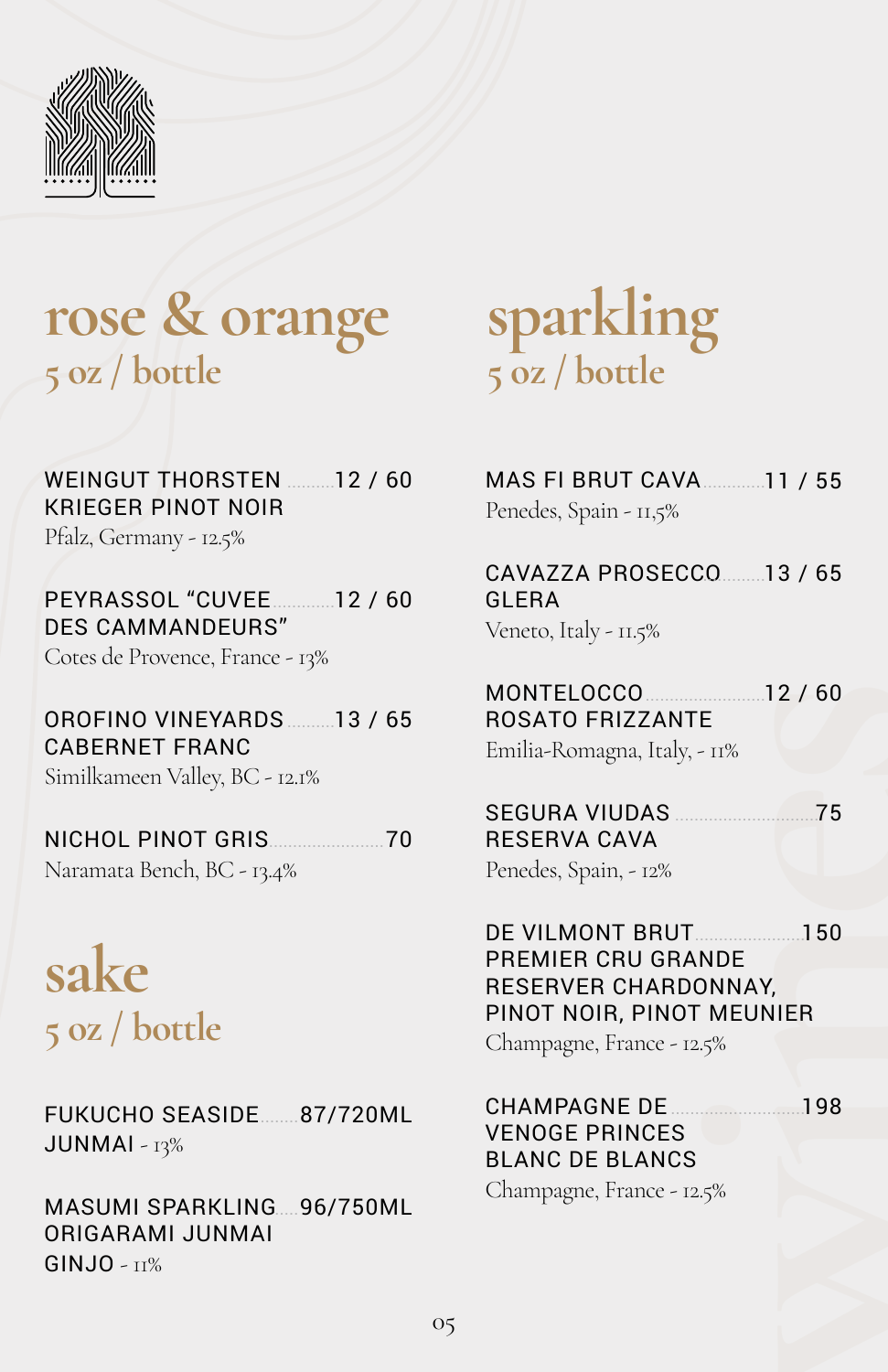

## **rose & orange 5 oz / bottle**

WEINGUT THORSTEN 12 / 60 .......... KRIEGER PINOT NOIR Pfalz, Germany - 12.5%

PEYRASSOL "CUVEE DES CAMMANDEURS" Cotes de Provence, France - 13% 12 / 60 .............

OROFINO VINEYARDS 13 / 65 .......... CABERNET FRANC Similkameen Valley, BC - 12.1%

NICHOL PINOT GRIS Naramata Bench, BC - 13.4% 70

**sake 5 oz / bottle**

FUKUCHO SEASIDE ........ JUNMAI - 13% 87/720ML

MASUMI SPARKLING....96/750ML ORIGARAMI JUNMAI  $GINJO - II%$ 



MAS FI BRUT CAVA ............. 11 / 55 Penedes, Spain - 11,5%

CAVAZZA PROSECCO ............. 13 / 65 GLERA Veneto, Italy - 11.5%

MONTELOCCO ROSATO FRIZZANTE Emilia-Romagna, Italy, - 11% ......................... 12 / 60

SEGURA VIUDAS RESERVA CAVA Penedes, Spain, - 12% 75

DE VILMONT BRUT PREMIER CRU GRANDE RESERVER CHARDONNAY, PINOT NOIR, PINOT MEUNIER ........................ 150

Champagne, France - 12.5%

**E**<br>E<br>TI%<br>**T5**<br>**NDE**<br>**MDE**<br>**NDE**<br>**NDE**<br>SNNAY,<br>MEUNIER<br>5%<br>**198**<br>5% CHAMPAGNE DE VENOGE PRINCES BLANC DE BLANCS Champagne, France - 12.5% ............................. 198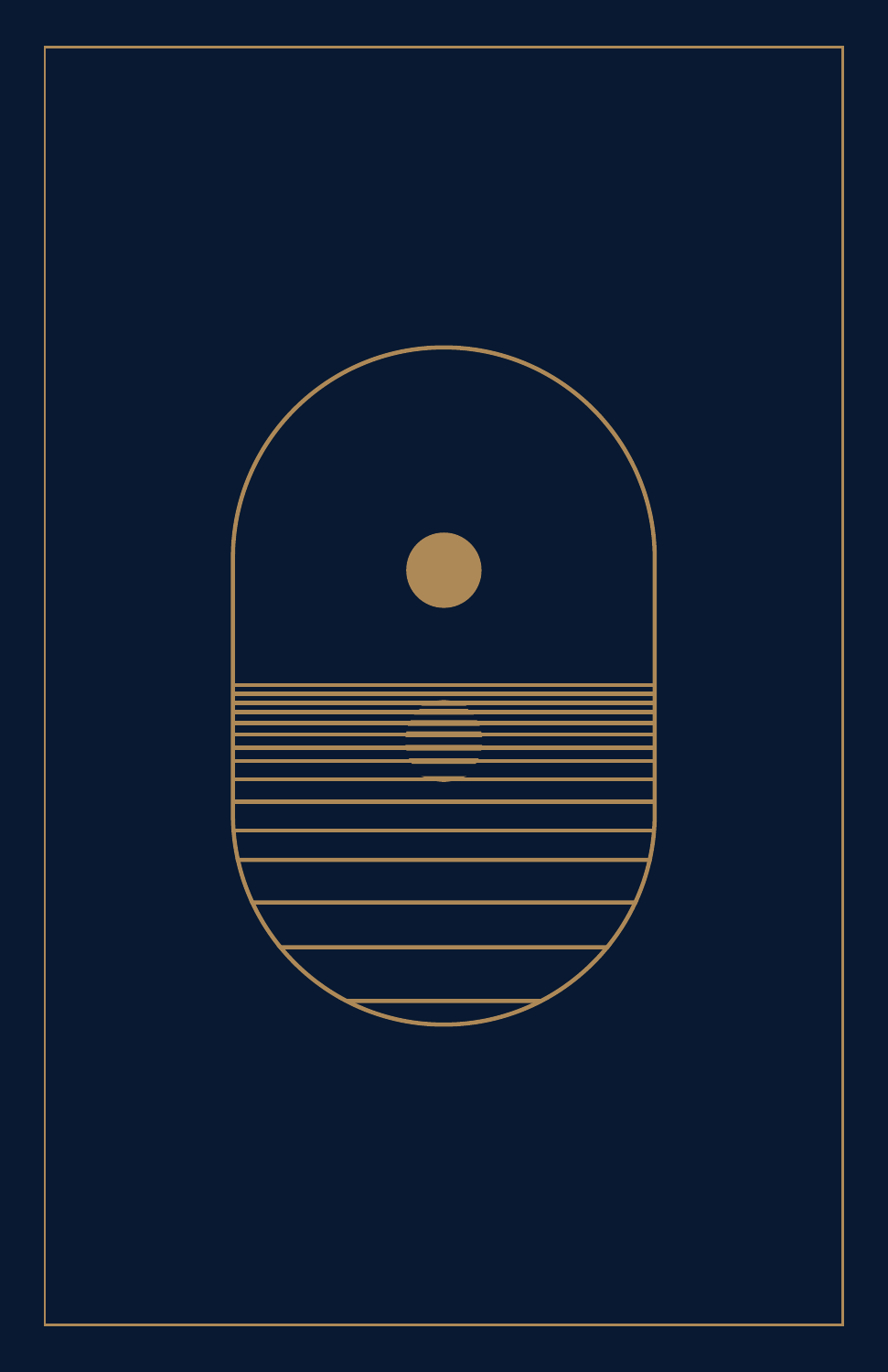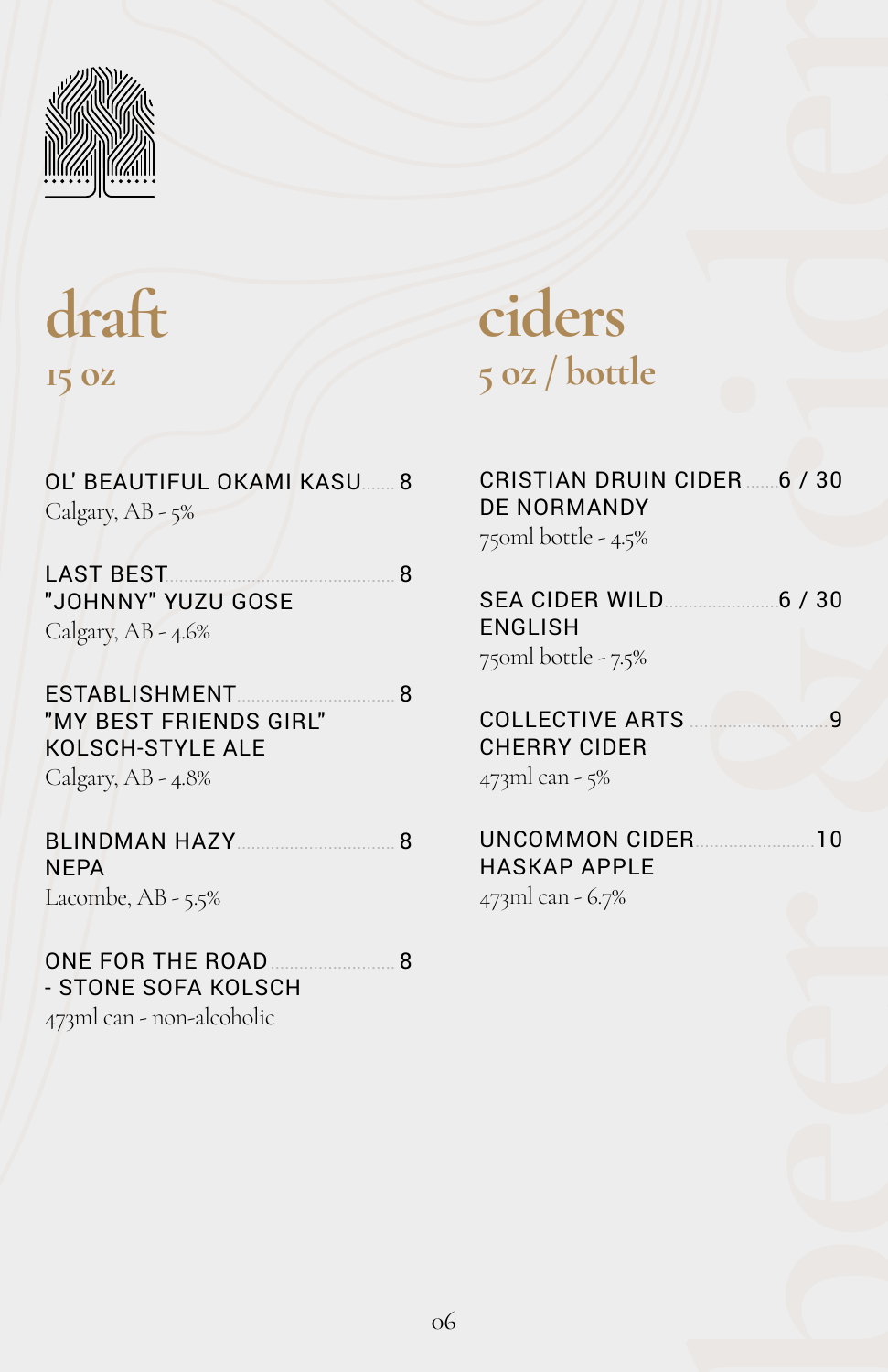

# **draft 15 oz**

### OL' BEAUTIFUL OKAMI KASU 8 ....... Calgary, AB - 5%

|                    | 8 |
|--------------------|---|
| "JOHNNY" YUZU GOSE |   |
| Calgary, AB - 4.6% |   |

| ESTABLISHMENT          | 8 |
|------------------------|---|
| "MY BEST FRIENDS GIRL" |   |
| KOLSCH-STYLE ALE       |   |
| Calgary, AB - 4.8%     |   |

### BLINDMAN HAZY **NFPA** 8

Lacombe, AB - 5.5%

### ONE FOR THE ROAD - STONE SOFA KOLSCH 8

473ml can - non-alcoholic

## **ciders 5 oz / bottle**

### CRISTIAN DRUIN CIDER ....... 6 / 30 DE NORMANDY

| ciders                                                             |      |
|--------------------------------------------------------------------|------|
| 5 oz / bottle                                                      |      |
|                                                                    |      |
| CRISTIAN DRUIN CIDER  6 / 30<br>DE NORMANDY<br>750ml bottle - 4.5% |      |
| SEA CIDER WILD.<br><b>ENGLISH</b><br>750ml bottle - 7.5%           | 6/30 |
| <b>COLLECTIVE ARTS</b><br><b>CHERRY CIDER</b><br>473ml can - 5%    | 9    |
| <b>UNCOMMON CIDER.</b><br><b>HASKAP APPLE</b><br>473ml can - 6.7%  | 10   |
|                                                                    |      |
|                                                                    |      |
|                                                                    |      |
|                                                                    |      |
|                                                                    |      |
|                                                                    |      |
|                                                                    |      |
|                                                                    |      |

### COLLECTIVE ARTS CHERRY CIDER ............................. 9

### UNCOMMON CIDER HASKAP APPLE 10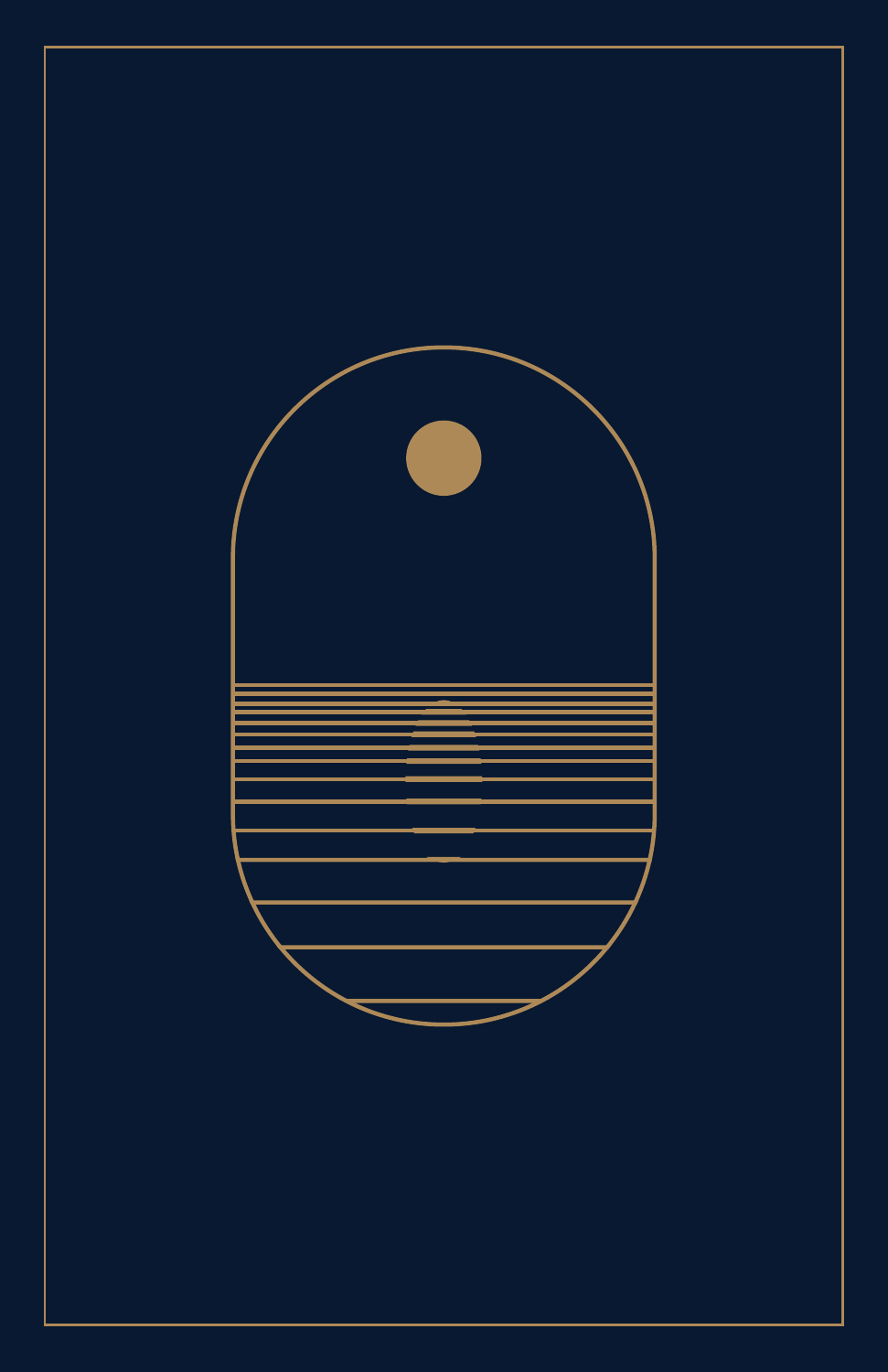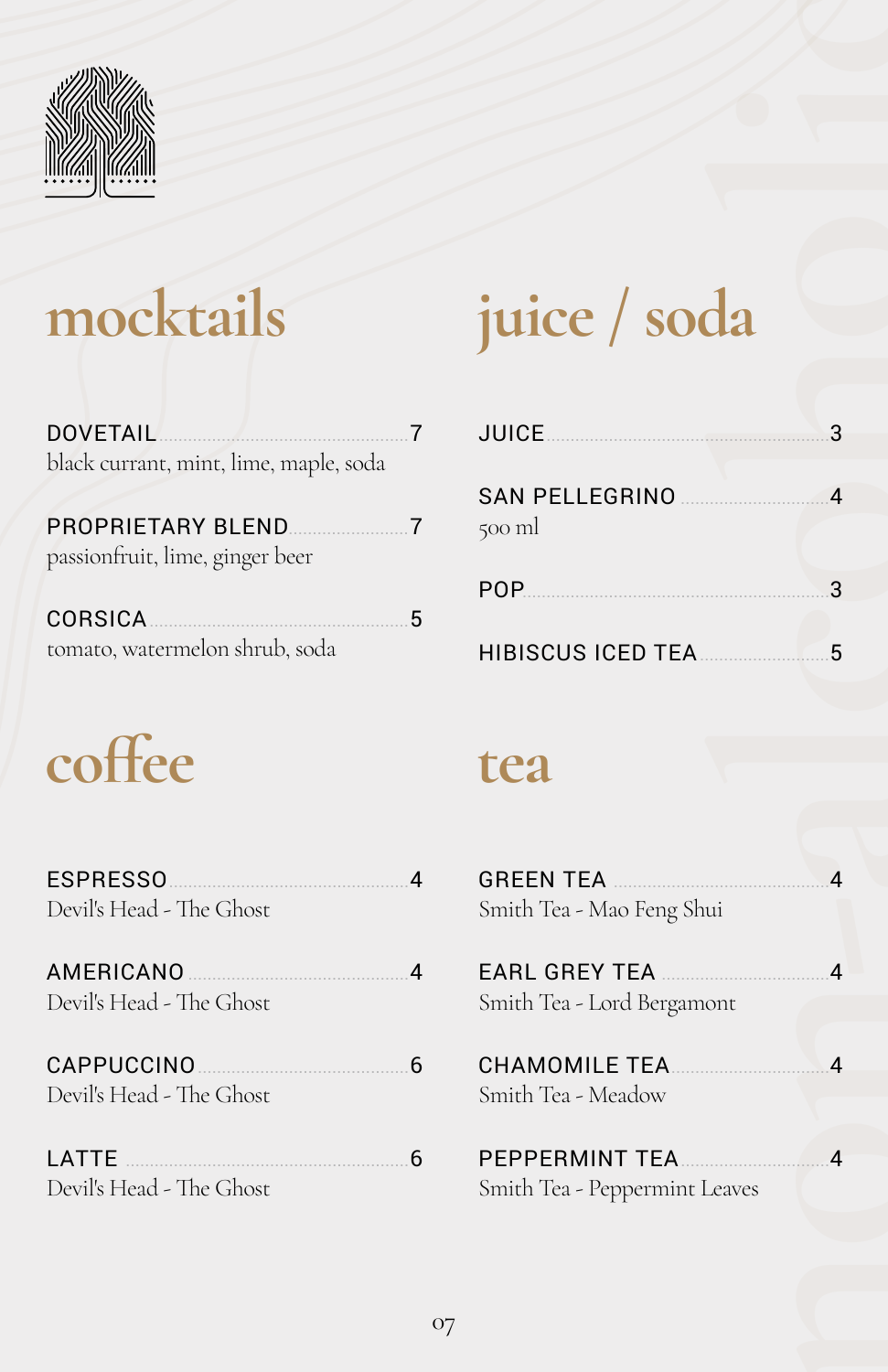

# **mocktails**

| DOVETAIL                               |  |
|----------------------------------------|--|
| black currant, mint, lime, maple, soda |  |

| PROPRIETARY BLEND               |
|---------------------------------|
| passionfruit, lime, ginger beer |
| CORSICA                         |

| tomato, watermelon shrub, soda |  |
|--------------------------------|--|

# **coffee**

| <b>ESPRESSO</b><br>Devil's Head - The Ghost |   |
|---------------------------------------------|---|
| AMERICANO<br>Devil's Head - The Ghost       |   |
| CAPPUCCINO<br>Devil's Head - The Ghost      | 6 |
| I ATTF<br>.<br>Devil's Head - The Ghost     |   |

# **juice / soda**

| JUICE                    | 3 |
|--------------------------|---|
| SAN PELLEGRINO<br>500 ml |   |
| POP.                     | З |
| HIBISCUS ICED TEA        | 5 |

## **tea**

| juice / soda                                       |   |
|----------------------------------------------------|---|
| <b>JUICE</b>                                       | 3 |
| SAN PELLEGRINO<br>500 ml                           | 4 |
| POP.                                               | 3 |
| HIBISCUS ICED TEA                                  | 5 |
|                                                    |   |
| tea                                                |   |
| <b>GREEN TEA</b><br>Smith Tea - Mao Feng Shui      | 4 |
| <b>EARL GREY TEA</b><br>Smith Tea - Lord Bergamont | 4 |
| <b>CHAMOMILE TEA.</b><br>Smith Tea - Meadow        | 4 |
| PEPPERMINT TEA<br>Smith Tea - Peppermint Leaves    | 4 |
|                                                    |   |
|                                                    |   |
|                                                    |   |